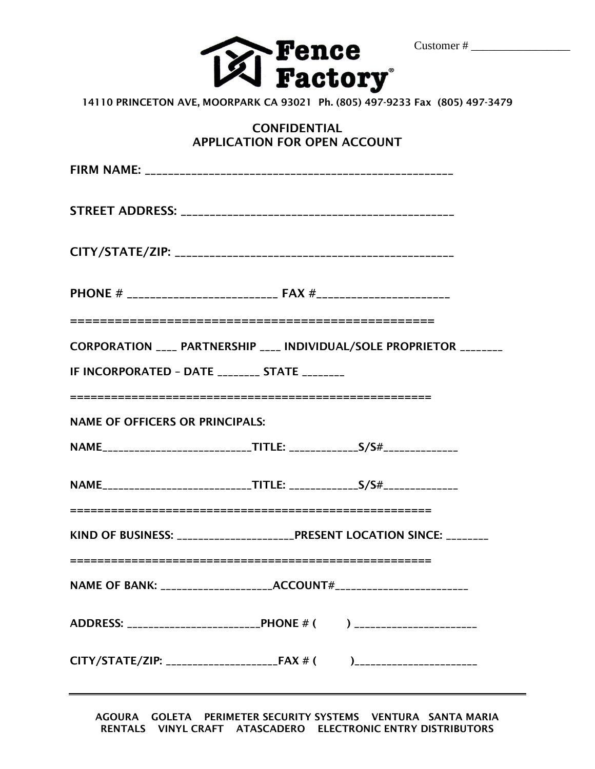

# **CONFIDENTIAL APPLICATION FOR OPEN ACCOUNT**

| CORPORATION ____ PARTNERSHIP ____ INDIVIDUAL/SOLE PROPRIETOR ________<br>IF INCORPORATED - DATE ________ STATE ________ |                                                                      |  |  |  |  |
|-------------------------------------------------------------------------------------------------------------------------|----------------------------------------------------------------------|--|--|--|--|
| <b>NAME OF OFFICERS OR PRINCIPALS:</b>                                                                                  |                                                                      |  |  |  |  |
|                                                                                                                         |                                                                      |  |  |  |  |
|                                                                                                                         |                                                                      |  |  |  |  |
| KIND OF BUSINESS: ______________________________PRESENT LOCATION SINCE: ________                                        |                                                                      |  |  |  |  |
|                                                                                                                         | NAME OF BANK: _____________________ACCOUNT#_________________________ |  |  |  |  |
| ADDRESS: ____________________________PHONE # ( ) ________________________                                               |                                                                      |  |  |  |  |
| CITY/STATE/ZIP: ______________________FAX # ( )_________________________                                                |                                                                      |  |  |  |  |

**AGOURA GOLETA PERIMETER SECURITY SYSTEMS VENTURA SANTA MARIA RENTALS VINYL CRAFT ATASCADERO ELECTRONIC ENTRY DISTRIBUTORS**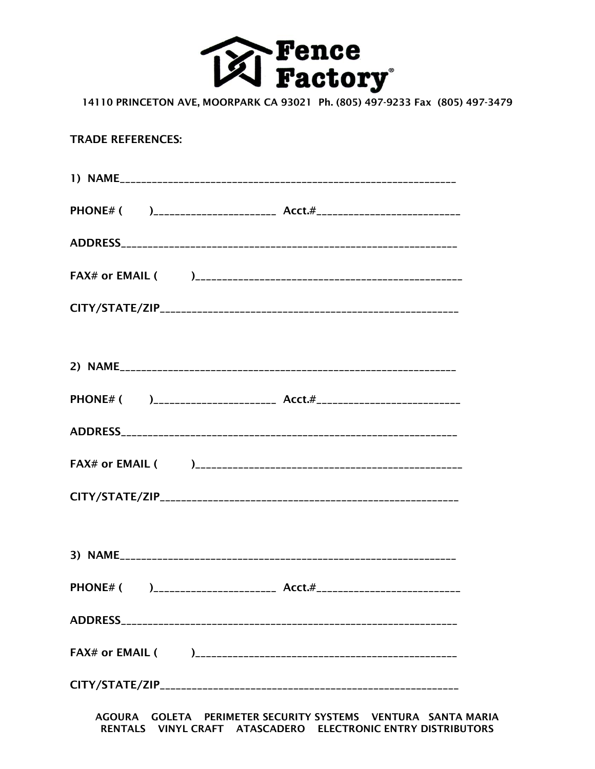

## **TRADE REFERENCES:**

AGOURA GOLETA PERIMETER SECURITY SYSTEMS VENTURA SANTA MARIA<br>RENTALS VINYL CRAFT ATASCADERO ELECTRONIC ENTRY DISTRIBUTORS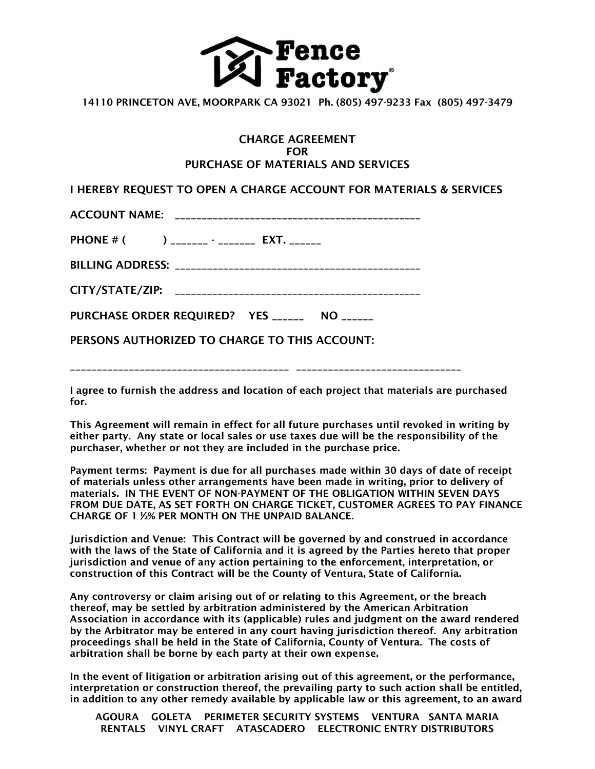

### **CHARGE AGREEMENT FOR PURCHASE OF MATERIALS AND SERVICES**

**I HEREBY REQUEST TO OPEN A CHARGE ACCOUNT FOR MATERIALS & SERVICES**

**ACCOUNT NAME: \_\_\_\_\_\_\_\_\_\_\_\_\_\_\_\_\_\_\_\_\_\_\_\_\_\_\_\_\_\_\_\_\_\_\_\_\_\_\_\_\_\_\_\_\_\_**

**PHONE # ( ) \_\_\_\_\_\_\_ - \_\_\_\_\_\_\_ EXT. \_\_\_\_\_\_**

**BILLING ADDRESS: \_\_\_\_\_\_\_\_\_\_\_\_\_\_\_\_\_\_\_\_\_\_\_\_\_\_\_\_\_\_\_\_\_\_\_\_\_\_\_\_\_\_\_\_\_\_**

**PURCHASE ORDER REQUIRED? YES \_\_\_\_\_\_ NO \_\_\_\_\_\_**

**PERSONS AUTHORIZED TO CHARGE TO THIS ACCOUNT:**

**\_\_\_\_\_\_\_\_\_\_\_\_\_\_\_\_\_\_\_\_\_\_\_\_\_\_\_\_\_\_\_\_\_\_\_\_\_\_\_\_\_ \_\_\_\_\_\_\_\_\_\_\_\_\_\_\_\_\_\_\_\_\_\_\_\_\_\_\_\_\_\_\_**

**I agree to furnish the address and location of each project that materials are purchased for.**

**This Agreement will remain in effect for all future purchases until revoked in writing by either party. Any state or local sales or use taxes due will be the responsibility of the purchaser, whether or not they are included in the purchase price.**

**Payment terms: Payment is due for all purchases made within 30 days of date of receipt of materials unless other arrangements have been made in writing, prior to delivery of materials. IN THE EVENT OF NON-PAYMENT OF THE OBLIGATION WITHIN SEVEN DAYS FROM DUE DATE, AS SET FORTH ON CHARGE TICKET, CUSTOMER AGREES TO PAY FINANCE CHARGE OF 1 ½% PER MONTH ON THE UNPAID BALANCE.**

**Jurisdiction and Venue: This Contract will be governed by and construed in accordance with the laws of the State of California and it is agreed by the Parties hereto that proper jurisdiction and venue of any action pertaining to the enforcement, interpretation, or construction of this Contract will be the County of Ventura, State of California.**

**Any controversy or claim arising out of or relating to this Agreement, or the breach thereof, may be settled by arbitration administered by the American Arbitration Association in accordance with its (applicable) rules and judgment on the award rendered by the Arbitrator may be entered in any court having jurisdiction thereof. Any arbitration proceedings shall be held in the State of California, County of Ventura. The costs of arbitration shall be borne by each party at their own expense.**

**In the event of litigation or arbitration arising out of this agreement, or the performance, interpretation or construction thereof, the prevailing party to such action shall be entitled, in addition to any other remedy available by applicable law or this agreement, to an award**

**AGOURA GOLETA PERIMETER SECURITY SYSTEMS VENTURA SANTA MARIA RENTALS VINYL CRAFT ATASCADERO ELECTRONIC ENTRY DISTRIBUTORS**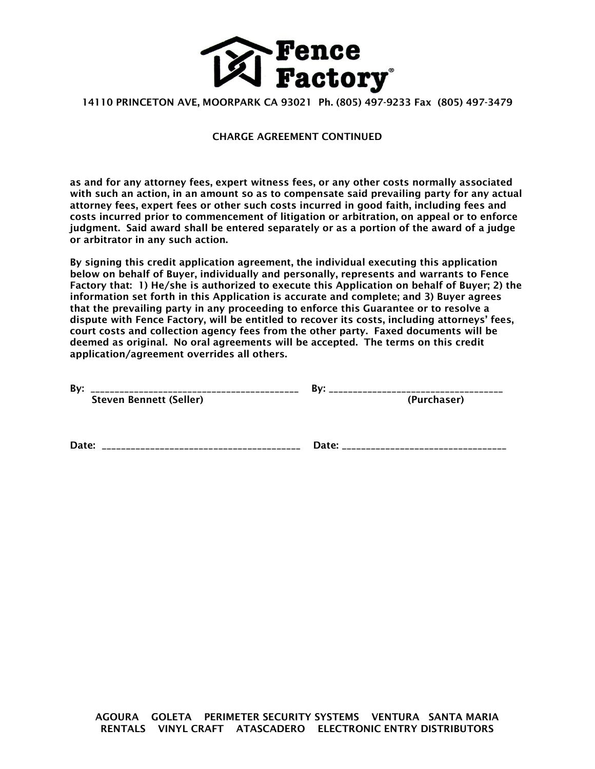

#### **CHARGE AGREEMENT CONTINUED**

**as and for any attorney fees, expert witness fees, or any other costs normally associated with such an action, in an amount so as to compensate said prevailing party for any actual attorney fees, expert fees or other such costs incurred in good faith, including fees and costs incurred prior to commencement of litigation or arbitration, on appeal or to enforce judgment. Said award shall be entered separately or as a portion of the award of a judge or arbitrator in any such action.**

**By signing this credit application agreement, the individual executing this application below on behalf of Buyer, individually and personally, represents and warrants to Fence Factory that: 1) He/she is authorized to execute this Application on behalf of Buyer; 2) the information set forth in this Application is accurate and complete; and 3) Buyer agrees that the prevailing party in any proceeding to enforce this Guarantee or to resolve a dispute with Fence Factory, will be entitled to recover its costs, including attorneys' fees, court costs and collection agency fees from the other party. Faxed documents will be deemed as original. No oral agreements will be accepted. The terms on this credit application/agreement overrides all others.**

| By:   |                                | Bv:         |  |
|-------|--------------------------------|-------------|--|
|       | <b>Steven Bennett (Seller)</b> | (Purchaser) |  |
|       |                                |             |  |
| Date: |                                | Date:       |  |